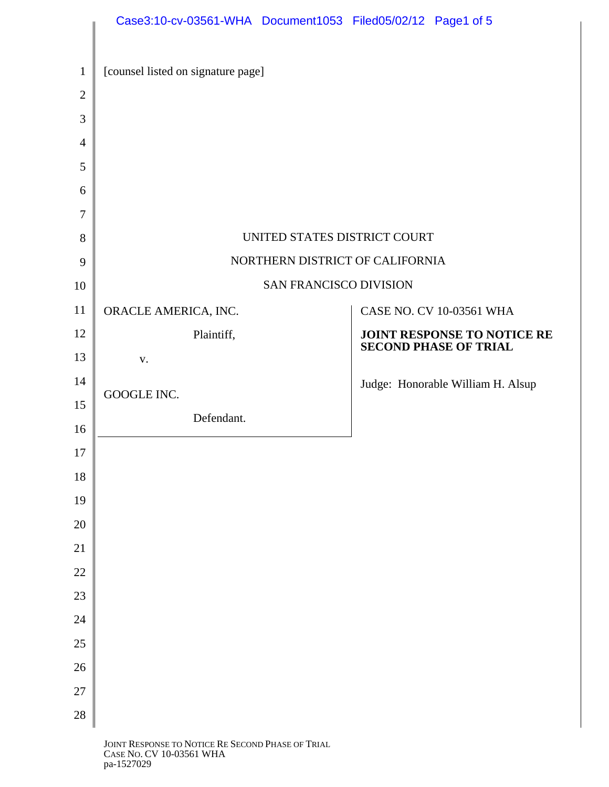|                     | Case3:10-cv-03561-WHA Document1053 Filed05/02/12 Page1 of 5 |                                                             |  |
|---------------------|-------------------------------------------------------------|-------------------------------------------------------------|--|
| $\mathbf{1}$        | [counsel listed on signature page]                          |                                                             |  |
| $\mathbf{2}$        |                                                             |                                                             |  |
| 3                   |                                                             |                                                             |  |
| $\overline{4}$<br>5 |                                                             |                                                             |  |
| 6                   |                                                             |                                                             |  |
| 7                   |                                                             |                                                             |  |
| 8                   | UNITED STATES DISTRICT COURT                                |                                                             |  |
| 9                   | NORTHERN DISTRICT OF CALIFORNIA                             |                                                             |  |
| 10                  | <b>SAN FRANCISCO DIVISION</b>                               |                                                             |  |
| 11                  | ORACLE AMERICA, INC.                                        | CASE NO. CV 10-03561 WHA                                    |  |
| 12                  | Plaintiff,                                                  | JOINT RESPONSE TO NOTICE RE<br><b>SECOND PHASE OF TRIAL</b> |  |
| 13                  | V.                                                          |                                                             |  |
| 14                  | GOOGLE INC.                                                 | Judge: Honorable William H. Alsup                           |  |
| 15                  | Defendant.                                                  |                                                             |  |
| 16                  |                                                             |                                                             |  |
| 17                  |                                                             |                                                             |  |
| 18                  |                                                             |                                                             |  |
| 19<br>20            |                                                             |                                                             |  |
| 21                  |                                                             |                                                             |  |
| 22                  |                                                             |                                                             |  |
| 23                  |                                                             |                                                             |  |
| 24                  |                                                             |                                                             |  |
| 25                  |                                                             |                                                             |  |
| 26                  |                                                             |                                                             |  |
| 27                  |                                                             |                                                             |  |
| 28                  |                                                             |                                                             |  |
|                     | <b>JOINT RESPONSE TO NOTICE RE SECOND PUASE OF TRIAL</b>    |                                                             |  |

JOINT RESPONSE TO NOTICE RE SECOND PHASE OF TRIAL CASE NO. CV 10-03561 WHA pa-1527029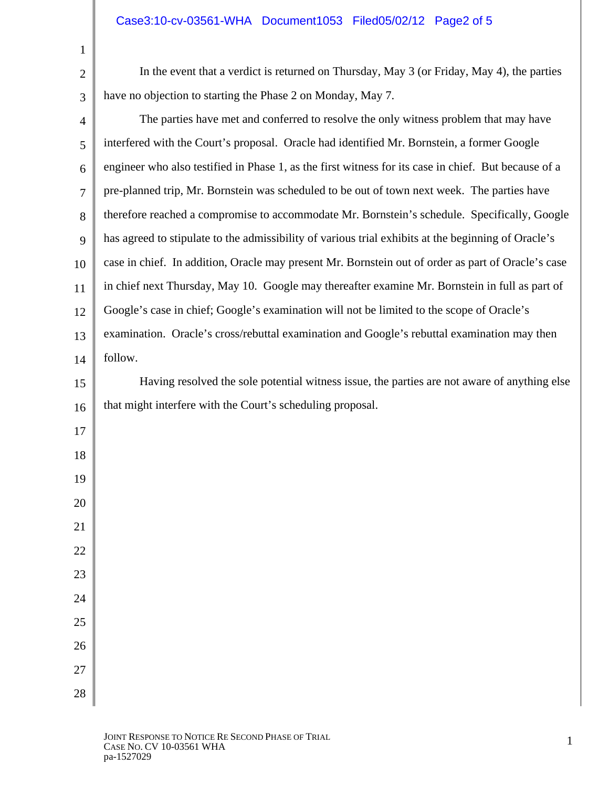In the event that a verdict is returned on Thursday, May 3 (or Friday, May 4), the parties have no objection to starting the Phase 2 on Monday, May 7.

| The parties have met and conferred to resolve the only witness problem that may have                 |
|------------------------------------------------------------------------------------------------------|
| interfered with the Court's proposal. Oracle had identified Mr. Bornstein, a former Google           |
| engineer who also testified in Phase 1, as the first witness for its case in chief. But because of a |
| pre-planned trip, Mr. Bornstein was scheduled to be out of town next week. The parties have          |
| therefore reached a compromise to accommodate Mr. Bornstein's schedule. Specifically, Google         |
| has agreed to stipulate to the admissibility of various trial exhibits at the beginning of Oracle's  |
| case in chief. In addition, Oracle may present Mr. Bornstein out of order as part of Oracle's case   |
| in chief next Thursday, May 10. Google may thereafter examine Mr. Bornstein in full as part of       |
| Google's case in chief; Google's examination will not be limited to the scope of Oracle's            |
| examination. Oracle's cross/rebuttal examination and Google's rebuttal examination may then          |
| follow.                                                                                              |
| Having resolved the sole potential witness issue, the parties are not aware of anything else         |
| that might interfere with the Court's scheduling proposal.                                           |
|                                                                                                      |
|                                                                                                      |
|                                                                                                      |
|                                                                                                      |
|                                                                                                      |
|                                                                                                      |
|                                                                                                      |
|                                                                                                      |
|                                                                                                      |
|                                                                                                      |
|                                                                                                      |
|                                                                                                      |
|                                                                                                      |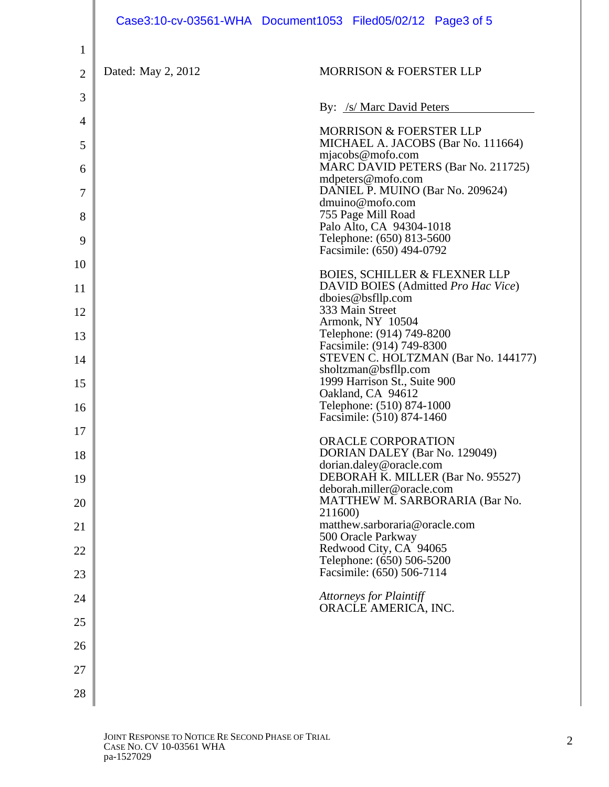|                |                    | Case3:10-cv-03561-WHA Document1053 Filed05/02/12 Page3 of 5                                      |
|----------------|--------------------|--------------------------------------------------------------------------------------------------|
| $\mathbf{1}$   |                    |                                                                                                  |
| $\overline{2}$ | Dated: May 2, 2012 | <b>MORRISON &amp; FOERSTER LLP</b>                                                               |
| 3              |                    | By: /s/ Marc David Peters                                                                        |
| $\overline{4}$ |                    | <b>MORRISON &amp; FOERSTER LLP</b>                                                               |
| 5              |                    | MICHAEL A. JACOBS (Bar No. 111664)<br>mjacobs@mofo.com                                           |
| 6              |                    | MARC DAVID PETERS (Bar No. 211725)<br>mdpeters@mofo.com                                          |
| 7              |                    | DANIEL P. MUINO (Bar No. 209624)<br>dmuino@mofo.com                                              |
| 8<br>9         |                    | 755 Page Mill Road<br>Palo Alto, CA 94304-1018<br>Telephone: (650) 813-5600                      |
| 10             |                    | Facsimile: (650) 494-0792                                                                        |
| 11             |                    | <b>BOIES, SCHILLER &amp; FLEXNER LLP</b><br>DAVID BOIES (Admitted Pro Hac Vice)                  |
| 12             |                    | dboies@bsfllp.com<br>333 Main Street                                                             |
| 13             |                    | Armonk, NY 10504<br>Telephone: (914) 749-8200                                                    |
| 14             |                    | Facsimile: (914) 749-8300<br>STEVEN C. HOLTZMAN (Bar No. 144177)                                 |
| 15             |                    | sholtzman@bsfllp.com<br>1999 Harrison St., Suite 900                                             |
| 16             |                    | Oakland, CA 94612<br>Telephone: (510) 874-1000                                                   |
| 17             |                    | Facsimile: (510) 874-1460                                                                        |
| 18             |                    | ORACLE CORPORATION<br>DORIAN DALEY (Bar No. 129049)<br>dorian.daley@oracle.com                   |
| 19             |                    | DEBORAH K. MILLER (Bar No. 95527)<br>deborah.miller@oracle.com<br>MATTHEW M. SARBORARIA (Bar No. |
| 20             |                    | 211600)<br>matthew.sarboraria@oracle.com                                                         |
| 21             |                    | 500 Oracle Parkway<br>Redwood City, CA 94065                                                     |
| 22             |                    | Telephone: (650) 506-5200<br>Facsimile: (650) 506-7114                                           |
| 23             |                    | <b>Attorneys for Plaintiff</b>                                                                   |
| 24<br>25       |                    | ORACLE AMERICA, INC.                                                                             |
| 26             |                    |                                                                                                  |
| 27             |                    |                                                                                                  |
| 28             |                    |                                                                                                  |
|                |                    |                                                                                                  |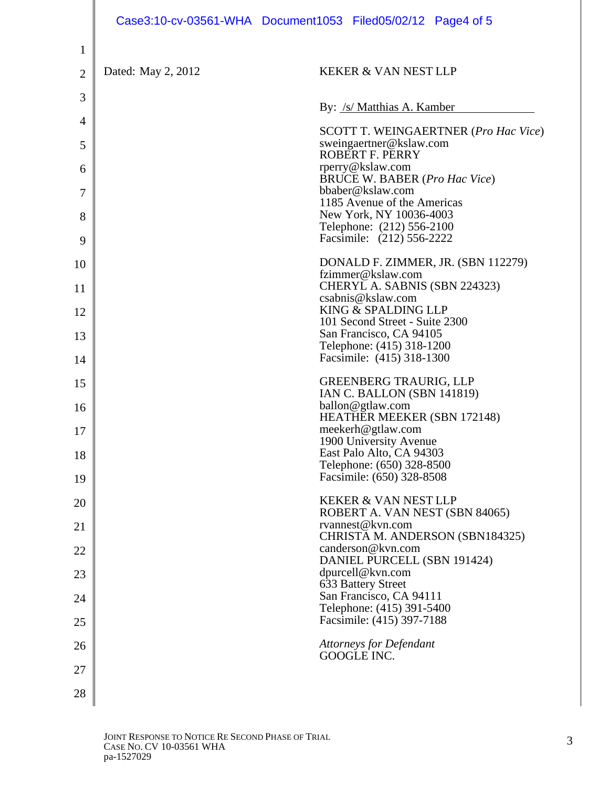|                |                    | Case3:10-cv-03561-WHA Document1053 Filed05/02/12 Page4 of 5                       |
|----------------|--------------------|-----------------------------------------------------------------------------------|
| 1              |                    |                                                                                   |
| $\overline{2}$ | Dated: May 2, 2012 | <b>KEKER &amp; VAN NEST LLP</b>                                                   |
| 3              |                    | By: /s/ Matthias A. Kamber                                                        |
| 4              |                    | <b>SCOTT T. WEINGAERTNER (Pro Hac Vice)</b>                                       |
| 5              |                    | sweingaertner@kslaw.com<br><b>ROBERT F. PERRY</b>                                 |
| 6              |                    | rperry@kslaw.com<br><b>BRUCE W. BABER (Pro Hac Vice)</b>                          |
| 7              |                    | bbaber@kslaw.com<br>1185 Avenue of the Americas                                   |
| 8<br>9         |                    | New York, NY 10036-4003<br>Telephone: (212) 556-2100<br>Facsimile: (212) 556-2222 |
| 10             |                    | DONALD F. ZIMMER, JR. (SBN 112279)                                                |
| 11             |                    | fzimmer@kslaw.com<br>CHERYL A. SABNIS (SBN 224323)                                |
| 12             |                    | csabnis@kslaw.com<br>KING & SPALDING LLP                                          |
| 13             |                    | 101 Second Street - Suite 2300<br>San Francisco, CA 94105                         |
| 14             |                    | Telephone: (415) 318-1200<br>Facsimile: (415) 318-1300                            |
| 15             |                    | <b>GREENBERG TRAURIG, LLP</b>                                                     |
| 16             |                    | IAN C. BALLON (SBN 141819)<br>ballon@gtlaw.com                                    |
| 17             |                    | HEATHER MEEKER (SBN 172148)<br>meekerh@gtlaw.com                                  |
| 18             |                    | 1900 University Avenue<br>East Palo Alto, CA 94303                                |
| 19             |                    | Telephone: (650) 328-8500<br>Facsimile: (650) 328-8508                            |
| 20             |                    | <b>KEKER &amp; VAN NEST LLP</b>                                                   |
| 21             |                    | ROBERT A. VAN NEST (SBN 84065)<br>rvannest@kvn.com                                |
| 22             |                    | CHRISTA M. ANDERSON (SBN184325)<br>canderson@kvn.com                              |
| 23             |                    | DANIEL PURCELL (SBN 191424)<br>dpurcell@kvn.com                                   |
| 24             |                    | 633 Battery Street<br>San Francisco, CA 94111                                     |
| 25             |                    | Telephone: (415) 391-5400<br>Facsimile: (415) 397-7188                            |
| 26             |                    | <b>Attorneys for Defendant</b>                                                    |
| 27             |                    | GOOGLE INC.                                                                       |
| 28             |                    |                                                                                   |